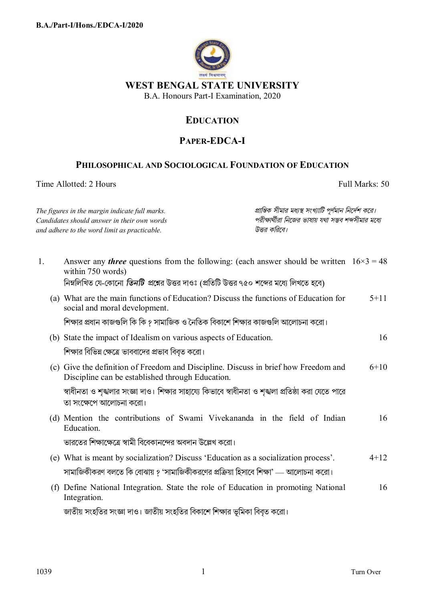

## **EDUCATION**

## **PAPER-EDCA-I**

## **PHILOSOPHICAL AND SOCIOLOGICAL FOUNDATION OF EDUCATION**

Time Allotted: 2 Hours Full Marks: 50

|    | The figures in the margin indicate full marks.<br>Candidates should answer in their own words<br>and adhere to the word limit as practicable. | প্রান্তিক সীমার মধ্যস্থ সংখ্যাটি পূর্ণমান নির্দেশ করে।<br>পরীক্ষার্থীরা নিজের ভাষায় যথা সম্ভব শব্দসীমার মধ্যে<br>উত্তর করিবে। |          |
|----|-----------------------------------------------------------------------------------------------------------------------------------------------|--------------------------------------------------------------------------------------------------------------------------------|----------|
| 1. | Answer any <i>three</i> questions from the following: (each answer should be written $16 \times 3 = 48$<br>within 750 words)                  |                                                                                                                                |          |
|    | নিম্নলিখিত যে-কোনো <i>তিনটি প্র</i> শ্নের উত্তর দাওঃ (প্রতিটি উত্তর ৭৫০ শব্দের মধ্যে লিখতে হবে)                                               |                                                                                                                                |          |
|    | (a) What are the main functions of Education? Discuss the functions of Education for<br>social and moral development.                         |                                                                                                                                | $5 + 11$ |
|    | শিক্ষার প্রধান কাজগুলি কি কি ? সামাজিক ও নৈতিক বিকাশে শিক্ষার কাজগুলি আলোচনা করো।                                                             |                                                                                                                                |          |
|    | (b) State the impact of Idealism on various aspects of Education.                                                                             |                                                                                                                                | 16       |
|    | শিক্ষার বিভিন্ন ক্ষেত্রে ভাববাদের প্রভাব বিবৃত করো।                                                                                           |                                                                                                                                |          |
|    | (c) Give the definition of Freedom and Discipline. Discuss in brief how Freedom and<br>Discipline can be established through Education.       |                                                                                                                                | $6 + 10$ |
|    | স্বাধীনতা ও শৃঙ্খলার সংজ্ঞা দাও। শিক্ষার সাহায্যে কিভাবে স্বাধীনতা ও শৃঙ্খলা প্রতিষ্ঠা করা যেতে পারে<br>তা সংক্ষেপে আলোচনা করো।               |                                                                                                                                |          |
|    | (d) Mention the contributions of Swami Vivekananda in the field of Indian<br>Education.                                                       |                                                                                                                                | 16       |
|    | ভারতের শিক্ষাক্ষেত্রে স্বামী বিবেকানন্দের অবদান উল্লেখ করো।                                                                                   |                                                                                                                                |          |
|    | (e) What is meant by socialization? Discuss 'Education as a socialization process'.                                                           |                                                                                                                                | $4 + 12$ |
|    | সামাজিকীকরণ বলতে কি বোঝায় ? 'সামাজিকীকরণের প্রক্রিয়া হিসাবে শিক্ষা' — আলোচনা করো।                                                           |                                                                                                                                |          |
|    | (f) Define National Integration. State the role of Education in promoting National<br>Integration.                                            |                                                                                                                                | 16       |
|    | জাতীয় সংহতির সংজ্ঞা দাও। জাতীয় সংহতির বিকাশে শিক্ষার ভূমিকা বিবৃত করো।                                                                      |                                                                                                                                |          |